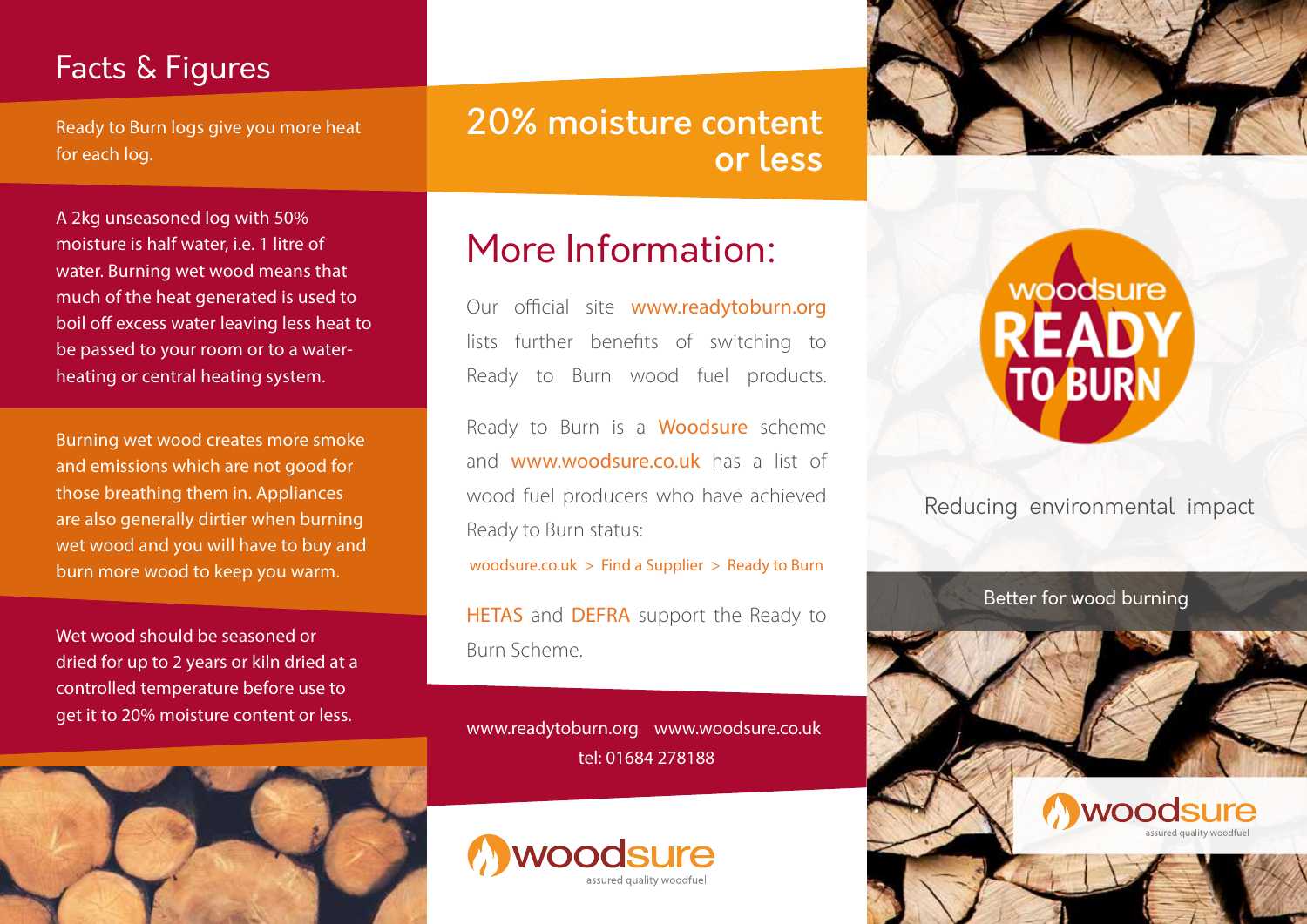### Facts & Figures

Ready to Burn logs give you more heat for each log.

A 2kg unseasoned log with 50% moisture is half water, i.e. 1 litre of water. Burning wet wood means that much of the heat generated is used to boil off excess water leaving less heat to be passed to your room or to a waterheating or central heating system.

Burning wet wood creates more smoke and emissions which are not good for those breathing them in. Appliances are also generally dirtier when burning wet wood and you will have to buy and burn more wood to keep you warm.

Wet wood should be seasoned or dried for up to 2 years or kiln dried at a controlled temperature before use to get it to 20% moisture content or less.



20% moisture content or less

# More Information:

Our official site www.readytoburn.org lists further benefits of switching to Ready to Burn wood fuel products.

Ready to Burn is a Woodsure scheme and www.woodsure.co.uk has a list of wood fuel producers who have achieved Ready to Burn status:

woodsure.co.uk  $>$  Find a Supplier  $>$  Ready to Burn

HETAS and DEFRA support the Ready to Burn Scheme.

www.readytoburn.org www.woodsure.co.uk tel: 01684 278188







Reducing environmental impact

Better for wood burning

woodsure